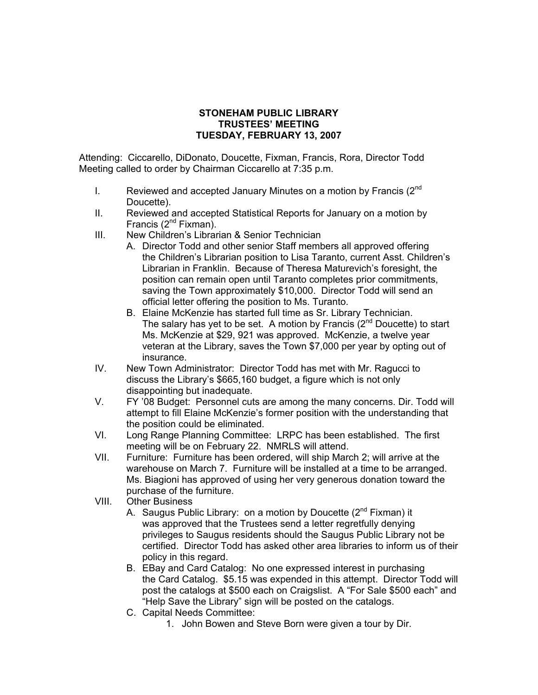## **STONEHAM PUBLIC LIBRARY TRUSTEES' MEETING TUESDAY, FEBRUARY 13, 2007**

Attending: Ciccarello, DiDonato, Doucette, Fixman, Francis, Rora, Director Todd Meeting called to order by Chairman Ciccarello at 7:35 p.m.

- I. Reviewed and accepted January Minutes on a motion by Francis  $(2^{nd}$ Doucette).
- II. Reviewed and accepted Statistical Reports for January on a motion by Francis  $(2^{nd}$  Fixman).
- III. New Children's Librarian & Senior Technician
	- A. Director Todd and other senior Staff members all approved offering the Children's Librarian position to Lisa Taranto, current Asst. Children's Librarian in Franklin. Because of Theresa Maturevich's foresight, the position can remain open until Taranto completes prior commitments, saving the Town approximately \$10,000. Director Todd will send an official letter offering the position to Ms. Turanto.
	- B. Elaine McKenzie has started full time as Sr. Library Technician. The salary has yet to be set. A motion by Francis  $(2^{nd}$  Doucette) to start Ms. McKenzie at \$29, 921 was approved. McKenzie, a twelve year veteran at the Library, saves the Town \$7,000 per year by opting out of insurance.
- IV. New Town Administrator: Director Todd has met with Mr. Ragucci to discuss the Library's \$665,160 budget, a figure which is not only disappointing but inadequate.
- V. FY '08 Budget: Personnel cuts are among the many concerns. Dir. Todd will attempt to fill Elaine McKenzie's former position with the understanding that the position could be eliminated.
- VI. Long Range Planning Committee: LRPC has been established. The first meeting will be on February 22. NMRLS will attend.
- VII. Furniture: Furniture has been ordered, will ship March 2; will arrive at the warehouse on March 7. Furniture will be installed at a time to be arranged. Ms. Biagioni has approved of using her very generous donation toward the purchase of the furniture.
- VIII. Other Business
	- A. Saugus Public Library: on a motion by Doucette  $(2^{nd}$  Fixman) it was approved that the Trustees send a letter regretfully denying privileges to Saugus residents should the Saugus Public Library not be certified. Director Todd has asked other area libraries to inform us of their policy in this regard.
	- B. EBay and Card Catalog: No one expressed interest in purchasing the Card Catalog. \$5.15 was expended in this attempt. Director Todd will post the catalogs at \$500 each on Craigslist. A "For Sale \$500 each" and "Help Save the Library" sign will be posted on the catalogs.
	- C. Capital Needs Committee:
		- 1. John Bowen and Steve Born were given a tour by Dir.